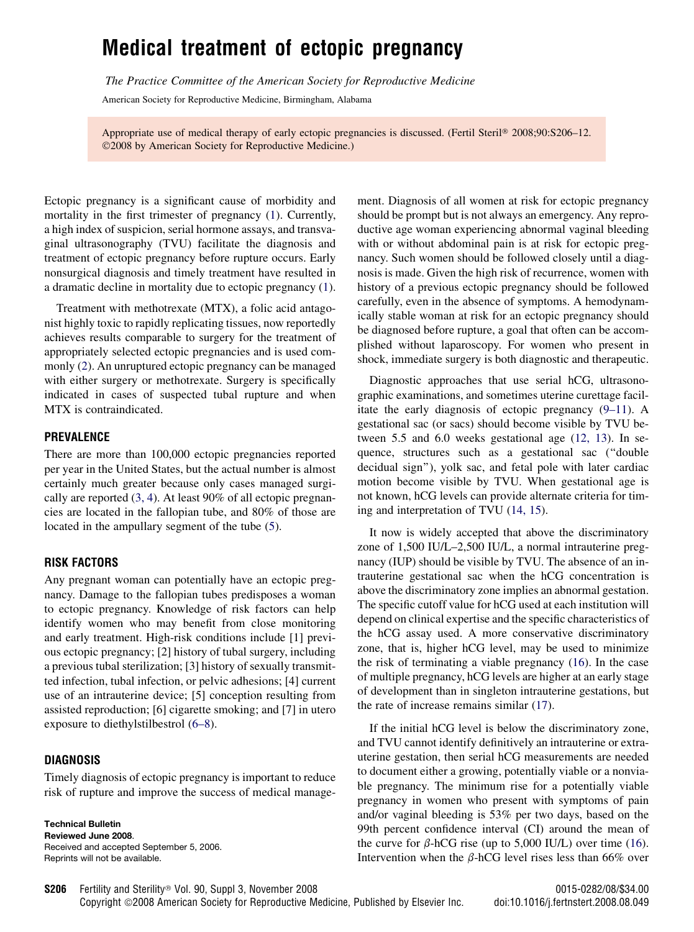# Medical treatment of ectopic pregnancy

The Practice Committee of the American Society for Reproductive Medicine

American Society for Reproductive Medicine, Birmingham, Alabama

Appropriate use of medical therapy of early ectopic pregnancies is discussed. (Fertil Steril® 2008;90:S206-12. 2008 by American Society for Reproductive Medicine.)

Ectopic pregnancy is a significant cause of morbidity and mortality in the first trimester of pregnancy [\(1](#page-5-0)). Currently, a high index of suspicion, serial hormone assays, and transvaginal ultrasonography (TVU) facilitate the diagnosis and treatment of ectopic pregnancy before rupture occurs. Early nonsurgical diagnosis and timely treatment have resulted in a dramatic decline in mortality due to ectopic pregnancy [\(1](#page-5-0)).

Treatment with methotrexate (MTX), a folic acid antagonist highly toxic to rapidly replicating tissues, now reportedly achieves results comparable to surgery for the treatment of appropriately selected ectopic pregnancies and is used commonly ([2\)](#page-5-0). An unruptured ectopic pregnancy can be managed with either surgery or methotrexate. Surgery is specifically indicated in cases of suspected tubal rupture and when MTX is contraindicated.

#### PREVALENCE

There are more than 100,000 ectopic pregnancies reported per year in the United States, but the actual number is almost certainly much greater because only cases managed surgically are reported [\(3, 4](#page-5-0)). At least 90% of all ectopic pregnancies are located in the fallopian tube, and 80% of those are located in the ampullary segment of the tube [\(5](#page-5-0)).

#### RISK FACTORS

Any pregnant woman can potentially have an ectopic pregnancy. Damage to the fallopian tubes predisposes a woman to ectopic pregnancy. Knowledge of risk factors can help identify women who may benefit from close monitoring and early treatment. High-risk conditions include [1] previous ectopic pregnancy; [2] history of tubal surgery, including a previous tubal sterilization; [3] history of sexually transmitted infection, tubal infection, or pelvic adhesions; [4] current use of an intrauterine device; [5] conception resulting from assisted reproduction; [6] cigarette smoking; and [7] in utero exposure to diethylstilbestrol ([6–8\)](#page-5-0).

#### DIAGNOSIS

Timely diagnosis of ectopic pregnancy is important to reduce risk of rupture and improve the success of medical manage-

Technical Bulletin Reviewed June 2008. Received and accepted September 5, 2006. Reprints will not be available.

ment. Diagnosis of all women at risk for ectopic pregnancy should be prompt but is not always an emergency. Any reproductive age woman experiencing abnormal vaginal bleeding with or without abdominal pain is at risk for ectopic pregnancy. Such women should be followed closely until a diagnosis is made. Given the high risk of recurrence, women with history of a previous ectopic pregnancy should be followed carefully, even in the absence of symptoms. A hemodynamically stable woman at risk for an ectopic pregnancy should be diagnosed before rupture, a goal that often can be accomplished without laparoscopy. For women who present in shock, immediate surgery is both diagnostic and therapeutic.

Diagnostic approaches that use serial hCG, ultrasonographic examinations, and sometimes uterine curettage facilitate the early diagnosis of ectopic pregnancy [\(9–11](#page-5-0)). A gestational sac (or sacs) should become visible by TVU between 5.5 and 6.0 weeks gestational age [\(12, 13](#page-5-0)). In sequence, structures such as a gestational sac (''double decidual sign''), yolk sac, and fetal pole with later cardiac motion become visible by TVU. When gestational age is not known, hCG levels can provide alternate criteria for timing and interpretation of TVU [\(14, 15\)](#page-5-0).

It now is widely accepted that above the discriminatory zone of 1,500 IU/L–2,500 IU/L, a normal intrauterine pregnancy (IUP) should be visible by TVU. The absence of an intrauterine gestational sac when the hCG concentration is above the discriminatory zone implies an abnormal gestation. The specific cutoff value for hCG used at each institution will depend on clinical expertise and the specific characteristics of the hCG assay used. A more conservative discriminatory zone, that is, higher hCG level, may be used to minimize the risk of terminating a viable pregnancy [\(16](#page-5-0)). In the case of multiple pregnancy, hCG levels are higher at an early stage of development than in singleton intrauterine gestations, but the rate of increase remains similar ([17\)](#page-5-0).

If the initial hCG level is below the discriminatory zone, and TVU cannot identify definitively an intrauterine or extrauterine gestation, then serial hCG measurements are needed to document either a growing, potentially viable or a nonviable pregnancy. The minimum rise for a potentially viable pregnancy in women who present with symptoms of pain and/or vaginal bleeding is 53% per two days, based on the 99th percent confidence interval (CI) around the mean of the curve for  $\beta$ -hCG rise (up to 5,000 IU/L) over time [\(16](#page-5-0)). Intervention when the  $\beta$ -hCG level rises less than 66% over

Fertility and Sterility<sup>®</sup> Vol. 90, Suppl 3, November 2008 0015-0282/08/\$34.00 S206

Copyright ©2008 American Society for Reproductive Medicine, Published by Elsevier Inc. doi:10.1016/j.fertnstert.2008.08.049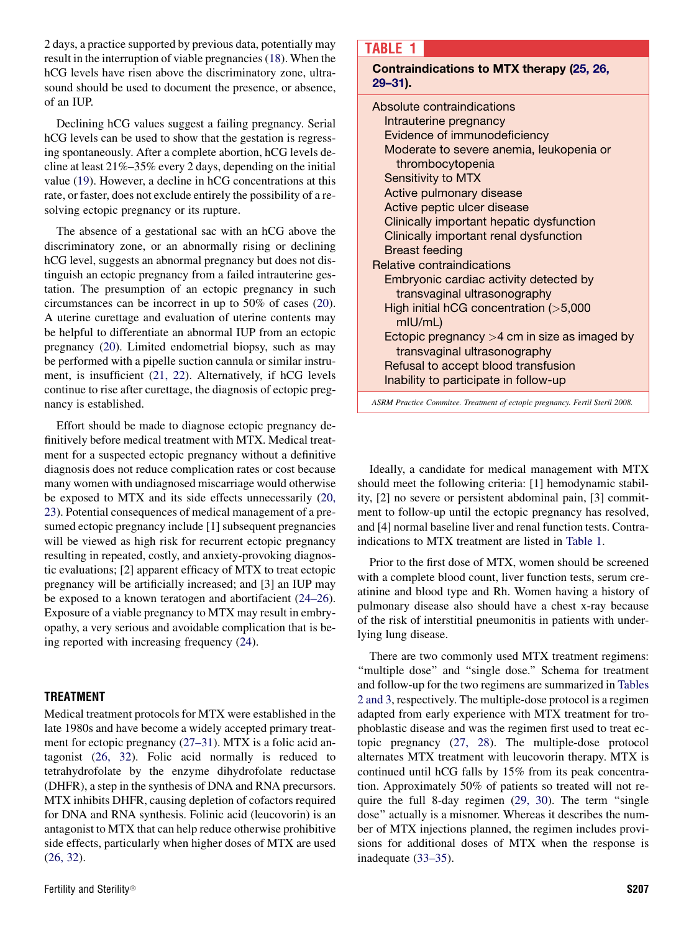2 days, a practice supported by previous data, potentially may result in the interruption of viable pregnancies [\(18](#page-5-0)). When the hCG levels have risen above the discriminatory zone, ultrasound should be used to document the presence, or absence, of an IUP.

Declining hCG values suggest a failing pregnancy. Serial hCG levels can be used to show that the gestation is regressing spontaneously. After a complete abortion, hCG levels decline at least 21%–35% every 2 days, depending on the initial value [\(19](#page-5-0)). However, a decline in hCG concentrations at this rate, or faster, does not exclude entirely the possibility of a resolving ectopic pregnancy or its rupture.

The absence of a gestational sac with an hCG above the discriminatory zone, or an abnormally rising or declining hCG level, suggests an abnormal pregnancy but does not distinguish an ectopic pregnancy from a failed intrauterine gestation. The presumption of an ectopic pregnancy in such circumstances can be incorrect in up to 50% of cases [\(20](#page-5-0)). A uterine curettage and evaluation of uterine contents may be helpful to differentiate an abnormal IUP from an ectopic pregnancy ([20\)](#page-5-0). Limited endometrial biopsy, such as may be performed with a pipelle suction cannula or similar instrument, is insufficient [\(21, 22\)](#page-5-0). Alternatively, if hCG levels continue to rise after curettage, the diagnosis of ectopic pregnancy is established.

Effort should be made to diagnose ectopic pregnancy definitively before medical treatment with MTX. Medical treatment for a suspected ectopic pregnancy without a definitive diagnosis does not reduce complication rates or cost because many women with undiagnosed miscarriage would otherwise be exposed to MTX and its side effects unnecessarily [\(20,](#page-5-0) [23\)](#page-5-0). Potential consequences of medical management of a presumed ectopic pregnancy include [1] subsequent pregnancies will be viewed as high risk for recurrent ectopic pregnancy resulting in repeated, costly, and anxiety-provoking diagnostic evaluations; [2] apparent efficacy of MTX to treat ectopic pregnancy will be artificially increased; and [3] an IUP may be exposed to a known teratogen and abortifacient [\(24–26](#page-5-0)). Exposure of a viable pregnancy to MTX may result in embryopathy, a very serious and avoidable complication that is being reported with increasing frequency [\(24](#page-5-0)).

#### TREATMENT

Medical treatment protocols for MTX were established in the late 1980s and have become a widely accepted primary treatment for ectopic pregnancy [\(27–31](#page-5-0)). MTX is a folic acid antagonist [\(26, 32](#page-5-0)). Folic acid normally is reduced to tetrahydrofolate by the enzyme dihydrofolate reductase (DHFR), a step in the synthesis of DNA and RNA precursors. MTX inhibits DHFR, causing depletion of cofactors required for DNA and RNA synthesis. Folinic acid (leucovorin) is an antagonist to MTX that can help reduce otherwise prohibitive side effects, particularly when higher doses of MTX are used [\(26, 32](#page-5-0)).

# TABLE 1

Contraindications to MTX therapy ([25, 26,](#page-5-0) [29–31](#page-5-0)).

| Absolute contraindications                     |
|------------------------------------------------|
| Intrauterine pregnancy                         |
| Evidence of immunodeficiency                   |
| Moderate to severe anemia, leukopenia or       |
| thrombocytopenia                               |
| <b>Sensitivity to MTX</b>                      |
| Active pulmonary disease                       |
| Active peptic ulcer disease                    |
| Clinically important hepatic dysfunction       |
| Clinically important renal dysfunction         |
| Breast feeding                                 |
| Relative contraindications                     |
| Embryonic cardiac activity detected by         |
| transvaginal ultrasonography                   |
| High initial hCG concentration $(>5,000$       |
| $m$ IU/mL $)$                                  |
| Ectopic pregnancy $>4$ cm in size as imaged by |
| transvaginal ultrasonography                   |
| Refusal to accept blood transfusion            |
| Inability to participate in follow-up          |
|                                                |

ASRM Practice Commitee. Treatment of ectopic pregnancy. Fertil Steril 2008.

Ideally, a candidate for medical management with MTX should meet the following criteria: [1] hemodynamic stability, [2] no severe or persistent abdominal pain, [3] commitment to follow-up until the ectopic pregnancy has resolved, and [4] normal baseline liver and renal function tests. Contraindications to MTX treatment are listed in Table 1.

Prior to the first dose of MTX, women should be screened with a complete blood count, liver function tests, serum creatinine and blood type and Rh. Women having a history of pulmonary disease also should have a chest x-ray because of the risk of interstitial pneumonitis in patients with underlying lung disease.

There are two commonly used MTX treatment regimens: "multiple dose" and "single dose." Schema for treatment and follow-up for the two regimens are summarized in [Tables](#page-2-0) [2 and 3](#page-2-0), respectively. The multiple-dose protocol is a regimen adapted from early experience with MTX treatment for trophoblastic disease and was the regimen first used to treat ectopic pregnancy ([27, 28\)](#page-5-0). The multiple-dose protocol alternates MTX treatment with leucovorin therapy. MTX is continued until hCG falls by 15% from its peak concentration. Approximately 50% of patients so treated will not require the full 8-day regimen [\(29, 30\)](#page-5-0). The term ''single dose'' actually is a misnomer. Whereas it describes the number of MTX injections planned, the regimen includes provisions for additional doses of MTX when the response is inadequate [\(33–35](#page-6-0)).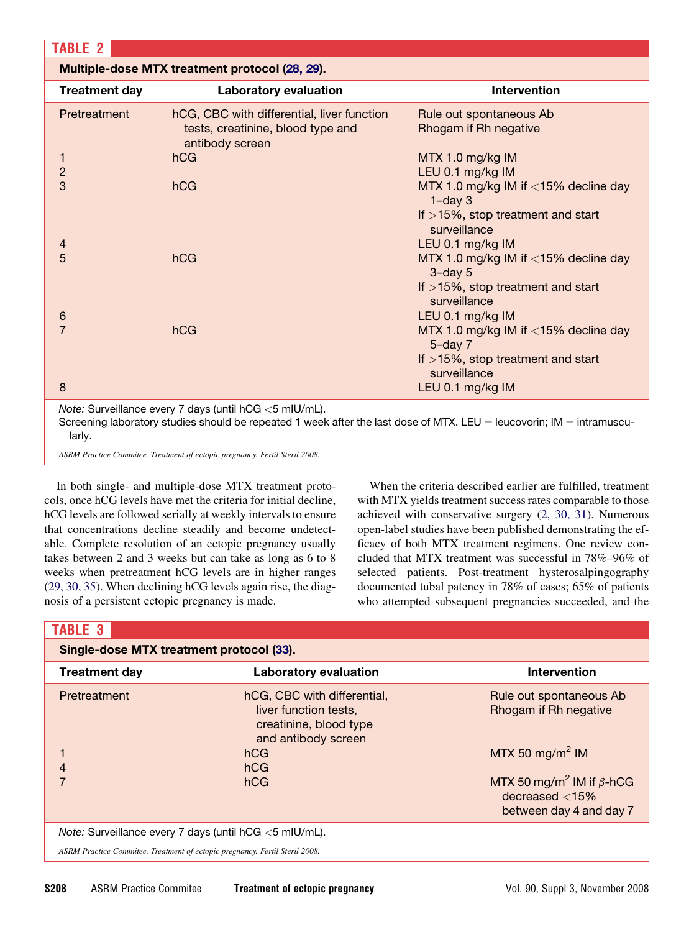<span id="page-2-0"></span>

| <b>TABLE 2</b>                                                                                                                                                                                      |                                                                                                    |                                                                                               |  |  |  |
|-----------------------------------------------------------------------------------------------------------------------------------------------------------------------------------------------------|----------------------------------------------------------------------------------------------------|-----------------------------------------------------------------------------------------------|--|--|--|
| Multiple-dose MTX treatment protocol (28, 29).                                                                                                                                                      |                                                                                                    |                                                                                               |  |  |  |
| <b>Treatment day</b>                                                                                                                                                                                | Laboratory evaluation                                                                              | <b>Intervention</b>                                                                           |  |  |  |
| Pretreatment                                                                                                                                                                                        | hCG, CBC with differential, liver function<br>tests, creatinine, blood type and<br>antibody screen | Rule out spontaneous Ab<br>Rhogam if Rh negative                                              |  |  |  |
| 1<br>$\overline{c}$                                                                                                                                                                                 | hCG                                                                                                | MTX 1.0 mg/kg IM<br>LEU 0.1 mg/kg IM                                                          |  |  |  |
| 3                                                                                                                                                                                                   | hCG                                                                                                | MTX 1.0 mg/kg IM if <15% decline day<br>$1$ -day $3$<br>If $>15\%$ , stop treatment and start |  |  |  |
| 4                                                                                                                                                                                                   | hCG                                                                                                | surveillance<br>LEU 0.1 mg/kg IM                                                              |  |  |  |
| 5                                                                                                                                                                                                   |                                                                                                    | MTX 1.0 mg/kg IM if <15% decline day<br>$3$ -day $5$<br>If $>15\%$ , stop treatment and start |  |  |  |
| 6                                                                                                                                                                                                   |                                                                                                    | surveillance<br>LEU 0.1 mg/kg IM                                                              |  |  |  |
| 7                                                                                                                                                                                                   | hCG                                                                                                | MTX 1.0 mg/kg IM if $<$ 15% decline day<br>$5 - day$ $7$                                      |  |  |  |
|                                                                                                                                                                                                     |                                                                                                    | If $>15\%$ , stop treatment and start<br>surveillance                                         |  |  |  |
| 8                                                                                                                                                                                                   |                                                                                                    | LEU 0.1 mg/kg IM                                                                              |  |  |  |
| <i>Note:</i> Surveillance every 7 days (until $hCG < 5$ mIU/mL).<br>Screening laboratory studies should be repeated 1 week after the last dose of MTX. LEU = leucovorin; IM = intramuscu-<br>larly. |                                                                                                    |                                                                                               |  |  |  |

ASRM Practice Commitee. Treatment of ectopic pregnancy. Fertil Steril 2008.

In both single- and multiple-dose MTX treatment protocols, once hCG levels have met the criteria for initial decline, hCG levels are followed serially at weekly intervals to ensure that concentrations decline steadily and become undetectable. Complete resolution of an ectopic pregnancy usually takes between 2 and 3 weeks but can take as long as 6 to 8 weeks when pretreatment hCG levels are in higher ranges [\(29, 30, 35\)](#page-5-0). When declining hCG levels again rise, the diagnosis of a persistent ectopic pregnancy is made.

When the criteria described earlier are fulfilled, treatment with MTX yields treatment success rates comparable to those achieved with conservative surgery [\(2, 30, 31\)](#page-5-0). Numerous open-label studies have been published demonstrating the efficacy of both MTX treatment regimens. One review concluded that MTX treatment was successful in 78%–96% of selected patients. Post-treatment hysterosalpingography documented tubal patency in 78% of cases; 65% of patients who attempted subsequent pregnancies succeeded, and the

# TABLE 3

| Single-dose MTX treatment protocol (33).                                    |                                                                                                       |                                                                                             |  |  |
|-----------------------------------------------------------------------------|-------------------------------------------------------------------------------------------------------|---------------------------------------------------------------------------------------------|--|--|
| <b>Treatment day</b>                                                        | Laboratory evaluation                                                                                 | <b>Intervention</b>                                                                         |  |  |
| Pretreatment                                                                | hCG, CBC with differential,<br>liver function tests,<br>creatinine, blood type<br>and antibody screen | Rule out spontaneous Ab<br>Rhogam if Rh negative                                            |  |  |
|                                                                             | hCG<br>hCG                                                                                            | MTX 50 mg/m <sup>2</sup> IM                                                                 |  |  |
|                                                                             | hCG                                                                                                   | MTX 50 mg/m <sup>2</sup> IM if $\beta$ -hCG<br>decreased $<$ 15%<br>between day 4 and day 7 |  |  |
| <i>Note:</i> Surveillance every 7 days (until $hCG < 5$ mIU/mL).            |                                                                                                       |                                                                                             |  |  |
| ASRM Practice Commitee. Treatment of ectopic pregnancy. Fertil Steril 2008. |                                                                                                       |                                                                                             |  |  |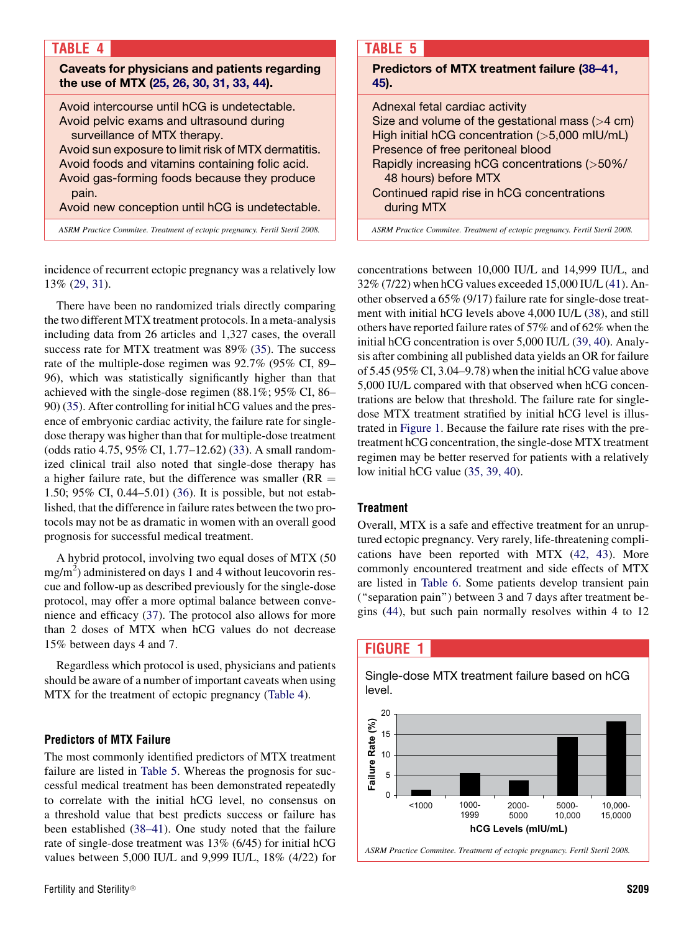| <b>TABLE 4</b>                                                                                                                                                                                                                                                                                                                                 |
|------------------------------------------------------------------------------------------------------------------------------------------------------------------------------------------------------------------------------------------------------------------------------------------------------------------------------------------------|
| Caveats for physicians and patients regarding<br>the use of MTX (25, 26, 30, 31, 33, 44).                                                                                                                                                                                                                                                      |
| Avoid intercourse until hCG is undetectable.<br>Avoid pelvic exams and ultrasound during<br>surveillance of MTX therapy.<br>Avoid sun exposure to limit risk of MTX dermatitis.<br>Avoid foods and vitamins containing folic acid.<br>Avoid gas-forming foods because they produce<br>pain.<br>Avoid new conception until hCG is undetectable. |
| ASRM Practice Commitee. Treatment of ectopic pregnancy. Fertil Steril 2008.                                                                                                                                                                                                                                                                    |

incidence of recurrent ectopic pregnancy was a relatively low 13% [\(29, 31\)](#page-5-0).

There have been no randomized trials directly comparing the two different MTX treatment protocols. In a meta-analysis including data from 26 articles and 1,327 cases, the overall success rate for MTX treatment was 89% ([35\)](#page-6-0). The success rate of the multiple-dose regimen was 92.7% (95% CI, 89– 96), which was statistically significantly higher than that achieved with the single-dose regimen (88.1%; 95% CI, 86– 90) [\(35](#page-6-0)). After controlling for initial hCG values and the presence of embryonic cardiac activity, the failure rate for singledose therapy was higher than that for multiple-dose treatment (odds ratio 4.75, 95% CI, 1.77–12.62) [\(33](#page-6-0)). A small randomized clinical trail also noted that single-dose therapy has a higher failure rate, but the difference was smaller ( $RR =$ 1.50; 95% CI, 0.44–5.01) ([36](#page-6-0)). It is possible, but not established, that the difference in failure rates between the two protocols may not be as dramatic in women with an overall good prognosis for successful medical treatment.

A hybrid protocol, involving two equal doses of MTX (50  $mg/m<sup>2</sup>$ ) administered on days 1 and 4 without leucovorin rescue and follow-up as described previously for the single-dose protocol, may offer a more optimal balance between convenience and efficacy ([37\)](#page-6-0). The protocol also allows for more than 2 doses of MTX when hCG values do not decrease 15% between days 4 and 7.

Regardless which protocol is used, physicians and patients should be aware of a number of important caveats when using MTX for the treatment of ectopic pregnancy (Table 4).

#### Predictors of MTX Failure

The most commonly identified predictors of MTX treatment failure are listed in Table 5. Whereas the prognosis for successful medical treatment has been demonstrated repeatedly to correlate with the initial hCG level, no consensus on a threshold value that best predicts success or failure has been established [\(38–41](#page-6-0)). One study noted that the failure rate of single-dose treatment was 13% (6/45) for initial hCG values between 5,000 IU/L and 9,999 IU/L, 18% (4/22) for

# TABLE 5

Predictors of MTX treatment failure [\(38–41,](#page-6-0) [45](#page-6-0)).

Adnexal fetal cardiac activity Size and volume of the gestational mass  $($  > 4 cm) High initial hCG concentration (>5,000 mIU/mL) Presence of free peritoneal blood Rapidly increasing hCG concentrations (>50%/ 48 hours) before MTX Continued rapid rise in hCG concentrations during MTX

ASRM Practice Commitee. Treatment of ectopic pregnancy. Fertil Steril 2008.

concentrations between 10,000 IU/L and 14,999 IU/L, and 32% (7/22) when hCG values exceeded 15,000 IU/L [\(41](#page-6-0)). Another observed a 65% (9/17) failure rate for single-dose treatment with initial hCG levels above 4,000 IU/L ([38\)](#page-6-0), and still others have reported failure rates of 57% and of 62% when the initial hCG concentration is over 5,000 IU/L ([39, 40](#page-6-0)). Analysis after combining all published data yields an OR for failure of 5.45 (95% CI, 3.04–9.78) when the initial hCG value above 5,000 IU/L compared with that observed when hCG concentrations are below that threshold. The failure rate for singledose MTX treatment stratified by initial hCG level is illustrated in Figure 1. Because the failure rate rises with the pretreatment hCG concentration, the single-dose MTX treatment regimen may be better reserved for patients with a relatively low initial hCG value ([35, 39, 40\)](#page-6-0).

## **Treatment**

Overall, MTX is a safe and effective treatment for an unruptured ectopic pregnancy. Very rarely, life-threatening complications have been reported with MTX ([42, 43](#page-6-0)). More commonly encountered treatment and side effects of MTX are listed in [Table 6.](#page-4-0) Some patients develop transient pain (''separation pain'') between 3 and 7 days after treatment begins ([44\)](#page-6-0), but such pain normally resolves within 4 to 12

# FIGURE 1

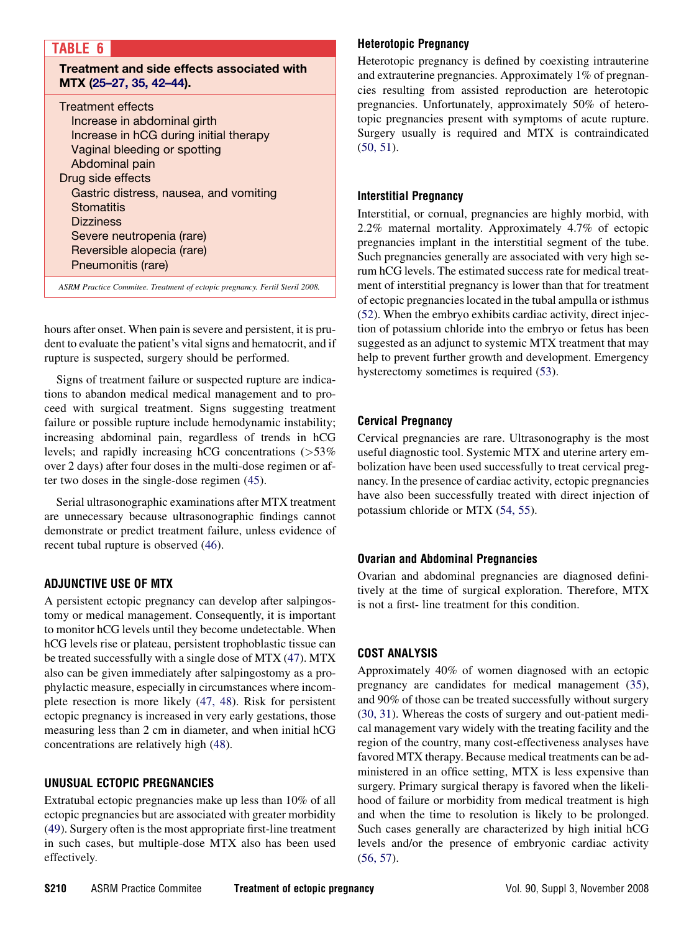## <span id="page-4-0"></span>TABLE 6

Treatment and side effects associated with MTX ([25–27, 35, 42–44](#page-5-0)).

| <b>Treatment effects</b><br>Increase in abdominal girth<br>Increase in hCG during initial therapy<br>Vaginal bleeding or spotting<br>Abdominal pain<br>Drug side effects<br>Gastric distress, nausea, and vomiting<br>Stomatitis<br><b>Dizziness</b><br>Severe neutropenia (rare) |  |
|-----------------------------------------------------------------------------------------------------------------------------------------------------------------------------------------------------------------------------------------------------------------------------------|--|
|                                                                                                                                                                                                                                                                                   |  |
| Reversible alopecia (rare)<br>Pneumonitis (rare)                                                                                                                                                                                                                                  |  |
|                                                                                                                                                                                                                                                                                   |  |

ASRM Practice Commitee. Treatment of ectopic pregnancy. Fertil Steril 2008.

hours after onset. When pain is severe and persistent, it is prudent to evaluate the patient's vital signs and hematocrit, and if rupture is suspected, surgery should be performed.

Signs of treatment failure or suspected rupture are indications to abandon medical medical management and to proceed with surgical treatment. Signs suggesting treatment failure or possible rupture include hemodynamic instability; increasing abdominal pain, regardless of trends in hCG levels; and rapidly increasing hCG concentrations (>53% over 2 days) after four doses in the multi-dose regimen or after two doses in the single-dose regimen ([45\)](#page-6-0).

Serial ultrasonographic examinations after MTX treatment are unnecessary because ultrasonographic findings cannot demonstrate or predict treatment failure, unless evidence of recent tubal rupture is observed [\(46](#page-6-0)).

## ADJUNCTIVE USE OF MTX

A persistent ectopic pregnancy can develop after salpingostomy or medical management. Consequently, it is important to monitor hCG levels until they become undetectable. When hCG levels rise or plateau, persistent trophoblastic tissue can be treated successfully with a single dose of MTX ([47\)](#page-6-0). MTX also can be given immediately after salpingostomy as a prophylactic measure, especially in circumstances where incomplete resection is more likely [\(47, 48\)](#page-6-0). Risk for persistent ectopic pregnancy is increased in very early gestations, those measuring less than 2 cm in diameter, and when initial hCG concentrations are relatively high [\(48](#page-6-0)).

# UNUSUAL ECTOPIC PREGNANCIES

Extratubal ectopic pregnancies make up less than 10% of all ectopic pregnancies but are associated with greater morbidity [\(49](#page-6-0)). Surgery often is the most appropriate first-line treatment in such cases, but multiple-dose MTX also has been used effectively.

## Heterotopic Pregnancy

Heterotopic pregnancy is defined by coexisting intrauterine and extrauterine pregnancies. Approximately 1% of pregnancies resulting from assisted reproduction are heterotopic pregnancies. Unfortunately, approximately 50% of heterotopic pregnancies present with symptoms of acute rupture. Surgery usually is required and MTX is contraindicated [\(50, 51](#page-6-0)).

#### Interstitial Pregnancy

Interstitial, or cornual, pregnancies are highly morbid, with 2.2% maternal mortality. Approximately 4.7% of ectopic pregnancies implant in the interstitial segment of the tube. Such pregnancies generally are associated with very high serum hCG levels. The estimated success rate for medical treatment of interstitial pregnancy is lower than that for treatment of ectopic pregnancies located in the tubal ampulla or isthmus [\(52](#page-6-0)). When the embryo exhibits cardiac activity, direct injection of potassium chloride into the embryo or fetus has been suggested as an adjunct to systemic MTX treatment that may help to prevent further growth and development. Emergency hysterectomy sometimes is required [\(53](#page-6-0)).

# Cervical Pregnancy

Cervical pregnancies are rare. Ultrasonography is the most useful diagnostic tool. Systemic MTX and uterine artery embolization have been used successfully to treat cervical pregnancy. In the presence of cardiac activity, ectopic pregnancies have also been successfully treated with direct injection of potassium chloride or MTX [\(54, 55\)](#page-6-0).

## Ovarian and Abdominal Pregnancies

Ovarian and abdominal pregnancies are diagnosed definitively at the time of surgical exploration. Therefore, MTX is not a first- line treatment for this condition.

# COST ANALYSIS

Approximately 40% of women diagnosed with an ectopic pregnancy are candidates for medical management [\(35](#page-6-0)), and 90% of those can be treated successfully without surgery [\(30, 31](#page-5-0)). Whereas the costs of surgery and out-patient medical management vary widely with the treating facility and the region of the country, many cost-effectiveness analyses have favored MTX therapy. Because medical treatments can be administered in an office setting, MTX is less expensive than surgery. Primary surgical therapy is favored when the likelihood of failure or morbidity from medical treatment is high and when the time to resolution is likely to be prolonged. Such cases generally are characterized by high initial hCG levels and/or the presence of embryonic cardiac activity [\(56, 57](#page-6-0)).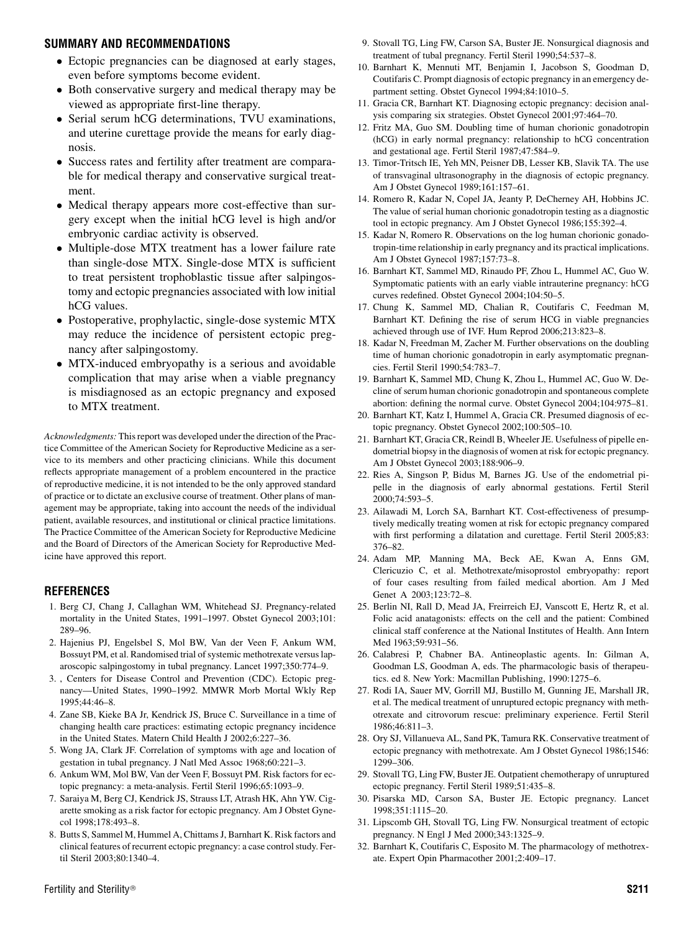#### <span id="page-5-0"></span>SUMMARY AND RECOMMENDATIONS

- Ectopic pregnancies can be diagnosed at early stages, even before symptoms become evident.
- Both conservative surgery and medical therapy may be viewed as appropriate first-line therapy.
- Serial serum hCG determinations, TVU examinations, and uterine curettage provide the means for early diagnosis.
- $\bullet$  Success rates and fertility after treatment are comparable for medical therapy and conservative surgical treatment.
- Medical therapy appears more cost-effective than surgery except when the initial hCG level is high and/or embryonic cardiac activity is observed.
- Multiple-dose MTX treatment has a lower failure rate than single-dose MTX. Single-dose MTX is sufficient to treat persistent trophoblastic tissue after salpingostomy and ectopic pregnancies associated with low initial hCG values.
- Postoperative, prophylactic, single-dose systemic MTX may reduce the incidence of persistent ectopic pregnancy after salpingostomy.
- MTX-induced embryopathy is a serious and avoidable complication that may arise when a viable pregnancy is misdiagnosed as an ectopic pregnancy and exposed to MTX treatment.

Acknowledgments: This report was developed under the direction of the Practice Committee of the American Society for Reproductive Medicine as a service to its members and other practicing clinicians. While this document reflects appropriate management of a problem encountered in the practice of reproductive medicine, it is not intended to be the only approved standard of practice or to dictate an exclusive course of treatment. Other plans of management may be appropriate, taking into account the needs of the individual patient, available resources, and institutional or clinical practice limitations. The Practice Committee of the American Society for Reproductive Medicine and the Board of Directors of the American Society for Reproductive Medicine have approved this report.

#### **REFERENCES**

- 1. Berg CJ, Chang J, Callaghan WM, Whitehead SJ. Pregnancy-related mortality in the United States, 1991–1997. Obstet Gynecol 2003;101: 289–96.
- 2. Hajenius PJ, Engelsbel S, Mol BW, Van der Veen F, Ankum WM, Bossuyt PM, et al. Randomised trial of systemic methotrexate versus laparoscopic salpingostomy in tubal pregnancy. Lancet 1997;350:774–9.
- 3. , Centers for Disease Control and Prevention (CDC). Ectopic pregnancy—United States, 1990–1992. MMWR Morb Mortal Wkly Rep 1995;44:46–8.
- 4. Zane SB, Kieke BA Jr, Kendrick JS, Bruce C. Surveillance in a time of changing health care practices: estimating ectopic pregnancy incidence in the United States. Matern Child Health J 2002;6:227–36.
- 5. Wong JA, Clark JF. Correlation of symptoms with age and location of gestation in tubal pregnancy. J Natl Med Assoc 1968;60:221–3.
- 6. Ankum WM, Mol BW, Van der Veen F, Bossuyt PM. Risk factors for ectopic pregnancy: a meta-analysis. Fertil Steril 1996;65:1093–9.
- 7. Saraiya M, Berg CJ, Kendrick JS, Strauss LT, Atrash HK, Ahn YW. Cigarette smoking as a risk factor for ectopic pregnancy. Am J Obstet Gynecol 1998;178:493–8.
- 8. Butts S, Sammel M, Hummel A, Chittams J, Barnhart K. Risk factors and clinical features of recurrent ectopic pregnancy: a case control study. Fertil Steril 2003;80:1340–4.
- 10. Barnhart K, Mennuti MT, Benjamin I, Jacobson S, Goodman D, Coutifaris C. Prompt diagnosis of ectopic pregnancy in an emergency department setting. Obstet Gynecol 1994;84:1010–5.
- 11. Gracia CR, Barnhart KT. Diagnosing ectopic pregnancy: decision analysis comparing six strategies. Obstet Gynecol 2001;97:464–70.
- 12. Fritz MA, Guo SM. Doubling time of human chorionic gonadotropin (hCG) in early normal pregnancy: relationship to hCG concentration and gestational age. Fertil Steril 1987;47:584–9.
- 13. Timor-Tritsch IE, Yeh MN, Peisner DB, Lesser KB, Slavik TA. The use of transvaginal ultrasonography in the diagnosis of ectopic pregnancy. Am J Obstet Gynecol 1989;161:157–61.
- 14. Romero R, Kadar N, Copel JA, Jeanty P, DeCherney AH, Hobbins JC. The value of serial human chorionic gonadotropin testing as a diagnostic tool in ectopic pregnancy. Am J Obstet Gynecol 1986;155:392–4.
- 15. Kadar N, Romero R. Observations on the log human chorionic gonadotropin-time relationship in early pregnancy and its practical implications. Am J Obstet Gynecol 1987;157:73–8.
- 16. Barnhart KT, Sammel MD, Rinaudo PF, Zhou L, Hummel AC, Guo W. Symptomatic patients with an early viable intrauterine pregnancy: hCG curves redefined. Obstet Gynecol 2004;104:50–5.
- 17. Chung K, Sammel MD, Chalian R, Coutifaris C, Feedman M, Barnhart KT. Defining the rise of serum HCG in viable pregnancies achieved through use of IVF. Hum Reprod 2006;213:823–8.
- 18. Kadar N, Freedman M, Zacher M. Further observations on the doubling time of human chorionic gonadotropin in early asymptomatic pregnancies. Fertil Steril 1990;54:783–7.
- 19. Barnhart K, Sammel MD, Chung K, Zhou L, Hummel AC, Guo W. Decline of serum human chorionic gonadotropin and spontaneous complete abortion: defining the normal curve. Obstet Gynecol 2004;104:975–81.
- 20. Barnhart KT, Katz I, Hummel A, Gracia CR. Presumed diagnosis of ectopic pregnancy. Obstet Gynecol 2002;100:505–10.
- 21. Barnhart KT, Gracia CR, Reindl B, Wheeler JE. Usefulness of pipelle endometrial biopsy in the diagnosis of women at risk for ectopic pregnancy. Am J Obstet Gynecol 2003;188:906–9.
- 22. Ries A, Singson P, Bidus M, Barnes JG. Use of the endometrial pipelle in the diagnosis of early abnormal gestations. Fertil Steril 2000;74:593–5.
- 23. Ailawadi M, Lorch SA, Barnhart KT. Cost-effectiveness of presumptively medically treating women at risk for ectopic pregnancy compared with first performing a dilatation and curettage. Fertil Steril 2005;83: 376–82.
- 24. Adam MP, Manning MA, Beck AE, Kwan A, Enns GM, Clericuzio C, et al. Methotrexate/misoprostol embryopathy: report of four cases resulting from failed medical abortion. Am J Med Genet A 2003;123:72–8.
- 25. Berlin NI, Rall D, Mead JA, Freirreich EJ, Vanscott E, Hertz R, et al. Folic acid anatagonists: effects on the cell and the patient: Combined clinical staff conference at the National Institutes of Health. Ann Intern Med 1963;59:931–56.
- 26. Calabresi P, Chabner BA. Antineoplastic agents. In: Gilman A, Goodman LS, Goodman A, eds. The pharmacologic basis of therapeutics. ed 8. New York: Macmillan Publishing, 1990:1275–6.
- 27. Rodi IA, Sauer MV, Gorrill MJ, Bustillo M, Gunning JE, Marshall JR, et al. The medical treatment of unruptured ectopic pregnancy with methotrexate and citrovorum rescue: preliminary experience. Fertil Steril 1986;46:811–3.
- 28. Ory SJ, Villanueva AL, Sand PK, Tamura RK. Conservative treatment of ectopic pregnancy with methotrexate. Am J Obstet Gynecol 1986;1546: 1299–306.
- 29. Stovall TG, Ling FW, Buster JE. Outpatient chemotherapy of unruptured ectopic pregnancy. Fertil Steril 1989;51:435–8.
- 30. Pisarska MD, Carson SA, Buster JE. Ectopic pregnancy. Lancet 1998;351:1115–20.
- 31. Lipscomb GH, Stovall TG, Ling FW. Nonsurgical treatment of ectopic pregnancy. N Engl J Med 2000;343:1325–9.
- 32. Barnhart K, Coutifaris C, Esposito M. The pharmacology of methotrexate. Expert Opin Pharmacother 2001;2:409–17.